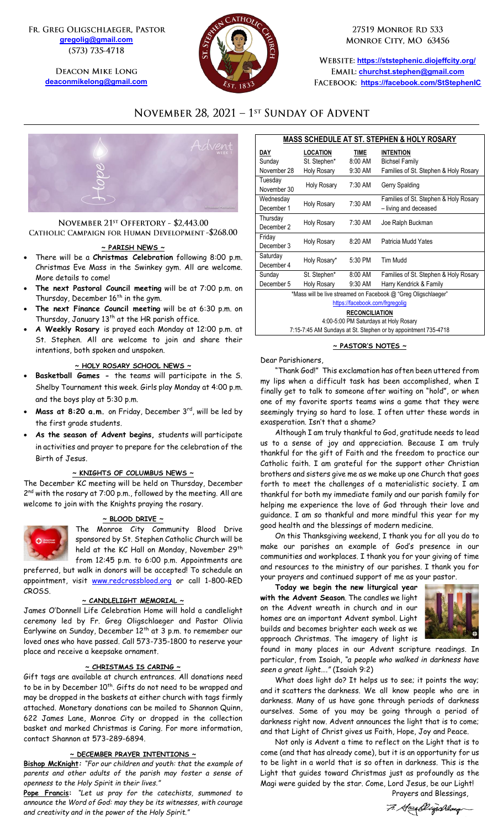FR. GREG OLIGSCHLAEGER, PASTOR **[gregolig@gmail.com](mailto:gregolig@gmail.com)** (573) 735-4718

> **DEACON MIKE LONG [deaconmikelong@gmail.com](mailto:deaconmikelong@gmail.com)**



27519 MONROE RD 533 MONROE CITY, MO 63456

**<https://ststephenic.diojeffcity.org/> [churchst.stephen@gmail.com](mailto:churchst.stephen@gmail.com) <https://facebook.com/StStephenIC>**

# NOVEMBER 28, 2021 - 1st SUNDAY OF ADVENT



# NOVEMBER 21<sup>st</sup> OFFERTORY - \$2,443.00 CATHOLIC CAMPAIGN FOR HUMAN DEVELOPMENT -\$268.00

#### **~ PARISH NEWS ~**

- There will be a **Christmas Celebration** following 8:00 p.m. Christmas Eve Mass in the Swinkey gym. All are welcome. More details to come!
- **The next Pastoral Council meeting** will be at 7:00 p.m. on Thursday, December 16<sup>th</sup> in the gym.
- **The next Finance Council meeting** will be at 6:30 p.m. on Thursday, January 13<sup>th</sup> at the HR parish office.
- **A Weekly Rosary** is prayed each Monday at 12:00 p.m. at St. Stephen. All are welcome to join and share their intentions, both spoken and unspoken.

#### **~ HOLY ROSARY SCHOOL NEWS ~**

- **Basketball Games -** the teams will participate in the S. Shelby Tournament this week. Girls play Monday at 4:00 p.m. and the boys play at 5:30 p.m.
- Mass at 8:20 a.m. on Friday, December 3<sup>rd</sup>, will be led by the first grade students.
- **As the season of Advent begins,** students will participate in activities and prayer to prepare for the celebration of the Birth of Jesus.

#### **~ KNIGHTS OF COLUMBUS NEWS ~**

The December KC meeting will be held on Thursday, December 2<sup>nd</sup> with the rosary at 7:00 p.m., followed by the meeting. All are welcome to join with the Knights praying the rosary.



The Monroe City Community Blood Drive sponsored by St. Stephen Catholic Church will be held at the KC Hall on Monday, November 29<sup>th</sup> from 12:45 p.m. to 6:00 p.m. Appointments are

preferred, but walk in donors will be accepted! To schedule an appointment, visit [www.redcrossblood.org](http://www.redcrossblood.org/) or call 1-800-RED CROSS.

# **~ CANDLELIGHT MEMORIAL ~**

James O'Donnell Life Celebration Home will hold a candlelight ceremony led by Fr. Greg Oligschlaeger and Pastor Olivia Earlywine on Sunday, December 12th at 3 p.m. to remember our loved ones who have passed. Call 573-735-1800 to reserve your place and receive a keepsake ornament.

#### **~ CHRISTMAS IS CARING ~**

Gift tags are available at church entrances. All donations need to be in by December 10<sup>th</sup>. Gifts do not need to be wrapped and may be dropped in the baskets at either church with tags firmly attached. Monetary donations can be mailed to Shannon Quinn, 622 James Lane, Monroe City or dropped in the collection basket and marked Christmas is Caring. For more information, contact Shannon at 573-289-6894.

#### **~ DECEMBER PRAYER INTENTIONS ~**

**Bishop McKnight***: "For our children and youth: that the example of parents and other adults of the parish may foster a sense of openness to the Holy Spirit in their lives."*

**Pope Francis:** *"Let us pray for the catechists, summoned to announce the Word of God: may they be its witnesses, with courage and creativity and in the power of the Holy Spirit."*

| <b>MASS SCHEDULE AT ST. STEPHEN &amp; HOLY ROSARY</b>          |                    |             |                                       |  |  |  |
|----------------------------------------------------------------|--------------------|-------------|---------------------------------------|--|--|--|
| DAY                                                            | <b>LOCATION</b>    | <b>TIME</b> | <b>INTENTION</b>                      |  |  |  |
| Sunday                                                         | St. Stephen*       | 8:00 AM     | <b>Bichsel Family</b>                 |  |  |  |
| November 28                                                    | Holy Rosary        | 9:30 AM     | Families of St. Stephen & Holy Rosary |  |  |  |
| Tuesday                                                        | <b>Holy Rosary</b> | 7:30 AM     | Gerry Spalding                        |  |  |  |
| November 30                                                    |                    |             |                                       |  |  |  |
| Wednesday                                                      | <b>Holy Rosary</b> | 7:30 AM     | Families of St. Stephen & Holy Rosary |  |  |  |
| December 1                                                     |                    |             | - living and deceased                 |  |  |  |
| Thursday                                                       | <b>Holy Rosary</b> | 7:30 AM     | Joe Ralph Buckman                     |  |  |  |
| December 2                                                     |                    |             |                                       |  |  |  |
| Friday                                                         | Holy Rosary        | $8:20$ AM   | Patricia Mudd Yates                   |  |  |  |
| December 3                                                     |                    |             |                                       |  |  |  |
| Saturday                                                       | Holy Rosary*       | 5:30 PM     | Tim Mudd                              |  |  |  |
| December 4                                                     |                    |             |                                       |  |  |  |
| Sunday                                                         | St. Stephen*       | 8:00 AM     | Families of St. Stephen & Holy Rosary |  |  |  |
| December 5                                                     | <b>Holy Rosary</b> | 9:30 AM     | Harry Kendrick & Family               |  |  |  |
| *Mass will be live streamed on Facebook @ "Greg Oligschlaeger" |                    |             |                                       |  |  |  |
| https://facebook.com/frgregolig                                |                    |             |                                       |  |  |  |
| <b>RECONCILIATION</b>                                          |                    |             |                                       |  |  |  |
| 4:00-5:00 PM Saturdays at Holy Rosary                          |                    |             |                                       |  |  |  |
| 7:15-7:45 AM Sundays at St. Stephen or by appointment 735-4718 |                    |             |                                       |  |  |  |

#### **~ PASTOR'S NOTES ~**

#### Dear Parishioners,

"Thank God!" This exclamation has often been uttered from my lips when a difficult task has been accomplished, when I finally get to talk to someone after waiting on "hold", or when one of my favorite sports teams wins a game that they were seemingly trying so hard to lose. I often utter these words in exasperation. Isn't that a shame?

Although I am truly thankful to God, gratitude needs to lead us to a sense of joy and appreciation. Because I am truly thankful for the gift of Faith and the freedom to practice our Catholic faith. I am grateful for the support other Christian brothers and sisters give me as we make up one Church that goes forth to meet the challenges of a materialistic society. I am thankful for both my immediate family and our parish family for helping me experience the love of God through their love and guidance. I am so thankful and more mindful this year for my good health and the blessings of modern medicine.

On this Thanksgiving weekend, I thank you for all you do to make our parishes an example of God's presence in our communities and workplaces. I thank you for your giving of time and resources to the ministry of our parishes. I thank you for your prayers and continued support of me as your pastor.

**Today we begin the new liturgical year with the Advent Season**. The candles we light on the Advent wreath in church and in our homes are an important Advent symbol. Light builds and becomes brighter each week as we approach Christmas. The imagery of light is



found in many places in our Advent scripture readings. In particular, from Isaiah, *"a people who walked in darkness have seen a great light…."* (Isaiah 9:2)

What does light do? It helps us to see; it points the way; and it scatters the darkness. We all know people who are in darkness. Many of us have gone through periods of darkness ourselves. Some of you may be going through a period of darkness right now. Advent announces the light that is to come; and that Light of Christ gives us Faith, Hope, Joy and Peace.

Not only is Advent a time to reflect on the Light that is to come (and that has already come), but it is an opportunity for us to be light in a world that is so often in darkness. This is the Light that guides toward Christmas just as profoundly as the Magi were guided by the star. Come, Lord Jesus, be our Light! Prayers and Blessings,

7. Geoghlyschlag